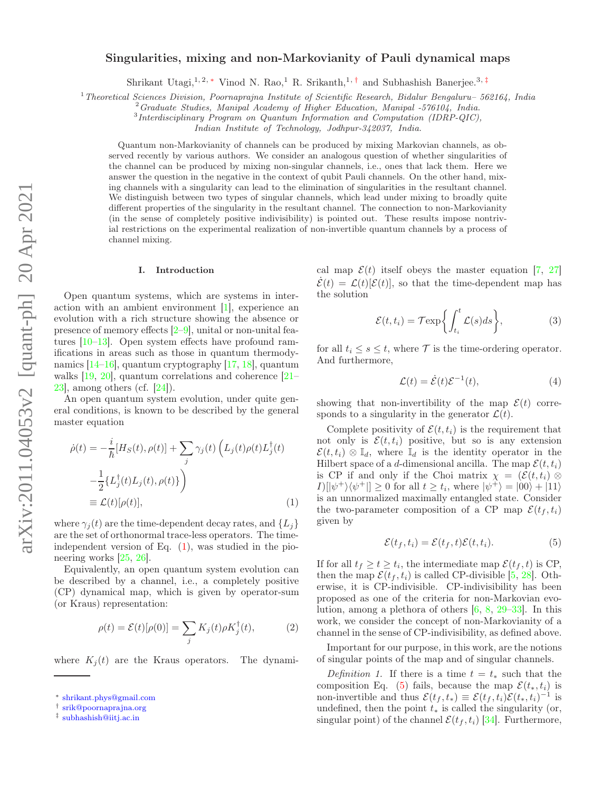# Singularities, mixing and non-Markovianity of Pauli dynamical maps

Shrikant Utagi,<sup>1, 2,\*</sup> Vinod N. Rao,<sup>1</sup> R. Srikanth,<sup>1,†</sup> and Subhashish Banerjee.<sup>3,‡</sup>

<sup>1</sup>*Theoretical Sciences Division, Poornaprajna Institute of Scientific Research, Bidalur Bengaluru– 562164, India*

<sup>2</sup>*Graduate Studies, Manipal Academy of Higher Education, Manipal -576104, India.*

3 *Interdisciplinary Program on Quantum Information and Computation (IDRP-QIC),*

*Indian Institute of Technology, Jodhpur-342037, India.*

Quantum non-Markovianity of channels can be produced by mixing Markovian channels, as observed recently by various authors. We consider an analogous question of whether singularities of the channel can be produced by mixing non-singular channels, i.e., ones that lack them. Here we answer the question in the negative in the context of qubit Pauli channels. On the other hand, mixing channels with a singularity can lead to the elimination of singularities in the resultant channel. We distinguish between two types of singular channels, which lead under mixing to broadly quite different properties of the singularity in the resultant channel. The connection to non-Markovianity (in the sense of completely positive indivisibility) is pointed out. These results impose nontrivial restrictions on the experimental realization of non-invertible quantum channels by a process of channel mixing.

#### I. Introduction

Open quantum systems, which are systems in interaction with an ambient environment [1], experience an evolution with a rich structure showing the absence or presence of memory effects  $[2-9]$ , unital or non-unital features [10–13]. Open system effects have profound ramifications in areas such as those in quantum thermodynamics [14–16], quantum cryptography [17, 18], quantum walks [19, 20], quantum correlations and coherence [21– 23], among others (cf. [24]).

An open quantum system evolution, under quite general conditions, is known to be described by the general master equation

$$
\dot{\rho}(t) = -\frac{i}{\hbar} [H_S(t), \rho(t)] + \sum_j \gamma_j(t) \left( L_j(t) \rho(t) L_j^{\dagger}(t) - \frac{1}{2} \{ L_j^{\dagger}(t) L_j(t), \rho(t) \} \right)
$$
  
=  $\mathcal{L}(t) [\rho(t)],$  (1)

where  $\gamma_i(t)$  are the time-dependent decay rates, and  $\{L_i\}$ are the set of orthonormal trace-less operators. The timeindependent version of Eq.  $(1)$ , was studied in the pioneering works [25, 26].

Equivalently, an open quantum system evolution can be described by a channel, i.e., a completely positive (CP) dynamical map, which is given by operator-sum (or Kraus) representation:

$$
\rho(t) = \mathcal{E}(t)[\rho(0)] = \sum_j K_j(t)\rho K_j^{\dagger}(t),\tag{2}
$$

where  $K_i(t)$  are the Kraus operators. The dynami-

cal map  $\mathcal{E}(t)$  itself obeys the master equation [7, 27]  $\mathcal{E}(t) = \mathcal{L}(t)[\mathcal{E}(t)]$ , so that the time-dependent map has the solution

$$
\mathcal{E}(t, t_i) = \mathcal{T} \exp\left\{ \int_{t_i}^t \mathcal{L}(s) ds \right\},\tag{3}
$$

for all  $t_i \leq s \leq t$ , where  $\mathcal T$  is the time-ordering operator. And furthermore,

$$
\mathcal{L}(t) = \dot{\mathcal{E}}(t)\mathcal{E}^{-1}(t),\tag{4}
$$

showing that non-invertibility of the map  $\mathcal{E}(t)$  corresponds to a singularity in the generator  $\mathcal{L}(t)$ .

Complete positivity of  $\mathcal{E}(t, t_i)$  is the requirement that not only is  $\mathcal{E}(t, t_i)$  positive, but so is any extension  $\mathcal{E}(t, t_i) \otimes \mathbb{I}_d$ , where  $\mathbb{I}_d$  is the identity operator in the Hilbert space of a d-dimensional ancilla. The map  $\mathcal{E}(t, t_i)$ is CP if and only if the Choi matrix  $\chi = (\mathcal{E}(t, t_i) \otimes$  $I\left(\left|\psi^{+}\right\rangle\left\langle \psi^{+}\right|\right] \geq 0$  for all  $t \geq t_i$ , where  $\left|\psi^{+}\right\rangle = \left|00\right\rangle + \left|11\right\rangle$ is an unnormalized maximally entangled state. Consider the two-parameter composition of a CP map  $\mathcal{E}(t_f, t_i)$ given by

$$
\mathcal{E}(t_f, t_i) = \mathcal{E}(t_f, t)\mathcal{E}(t, t_i). \tag{5}
$$

If for all  $t_f \ge t \ge t_i$ , the intermediate map  $\mathcal{E}(t_f, t)$  is CP, then the map  $\mathcal{E}(t_f, t_i)$  is called CP-divisible [5, 28]. Otherwise, it is CP-indivisible. CP-indivisibility has been proposed as one of the criteria for non-Markovian evolution, among a plethora of others [6, 8, 29–33]. In this work, we consider the concept of non-Markovianity of a channel in the sense of CP-indivisibility, as defined above.

Important for our purpose, in this work, are the notions of singular points of the map and of singular channels.

Definition 1. If there is a time  $t = t_*$  such that the composition Eq. (5) fails, because the map  $\mathcal{E}(t_*, t_i)$  is non-invertible and thus  $\mathcal{E}(t_f, t_*) \equiv \mathcal{E}(t_f, t_i)\mathcal{E}(t_*, t_i)^{-1}$  is undefined, then the point  $t_*$  is called the singularity (or, singular point) of the channel  $\mathcal{E}(t_f, t_i)$  [34]. Furthermore,

<sup>∗</sup> shrikant.phys@gmail.com

<sup>†</sup> srik@poornaprajna.org

<sup>‡</sup> subhashish@iitj.ac.in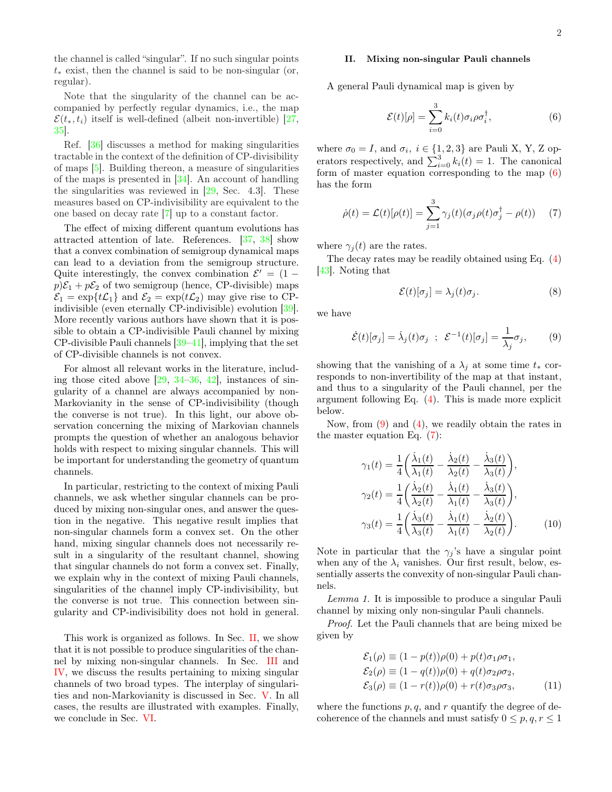the channel is called "singular". If no such singular points  $t_*$  exist, then the channel is said to be non-singular (or, regular).

Note that the singularity of the channel can be accompanied by perfectly regular dynamics, i.e., the map  $\mathcal{E}(t_*, t_i)$  itself is well-defined (albeit non-invertible) [27, 35].

Ref. [36] discusses a method for making singularities tractable in the context of the definition of CP-divisibility of maps [5]. Building thereon, a measure of singularities of the maps is presented in [34]. An account of handling the singularities was reviewed in  $[29, \text{Sec. } 4.3]$ . These measures based on CP-indivisibility are equivalent to the one based on decay rate [7] up to a constant factor.

The effect of mixing different quantum evolutions has attracted attention of late. References. [37, 38] show that a convex combination of semigroup dynamical maps can lead to a deviation from the semigroup structure. Quite interestingly, the convex combination  $\mathcal{E}' = (1$  $p\mathcal{E}_1 + p\mathcal{E}_2$  of two semigroup (hence, CP-divisible) maps  $\mathcal{E}_1 = \exp\{t\mathcal{L}_1\}$  and  $\mathcal{E}_2 = \exp(t\mathcal{L}_2)$  may give rise to CPindivisible (even eternally CP-indivisible) evolution [39]. More recently various authors have shown that it is possible to obtain a CP-indivisible Pauli channel by mixing CP-divisible Pauli channels [39–41], implying that the set of CP-divisible channels is not convex.

For almost all relevant works in the literature, including those cited above  $[29, 34-36, 42]$ , instances of singularity of a channel are always accompanied by non-Markovianity in the sense of CP-indivisibility (though the converse is not true). In this light, our above observation concerning the mixing of Markovian channels prompts the question of whether an analogous behavior holds with respect to mixing singular channels. This will be important for understanding the geometry of quantum channels.

In particular, restricting to the context of mixing Pauli channels, we ask whether singular channels can be produced by mixing non-singular ones, and answer the question in the negative. This negative result implies that non-singular channels form a convex set. On the other hand, mixing singular channels does not necessarily result in a singularity of the resultant channel, showing that singular channels do not form a convex set. Finally, we explain why in the context of mixing Pauli channels, singularities of the channel imply CP-indivisibility, but the converse is not true. This connection between singularity and CP-indivisibility does not hold in general.

This work is organized as follows. In Sec. II, we show that it is not possible to produce singularities of the channel by mixing non-singular channels. In Sec. III and IV, we discuss the results pertaining to mixing singular channels of two broad types. The interplay of singularities and non-Markovianity is discussed in Sec. V. In all cases, the results are illustrated with examples. Finally, we conclude in Sec. VI.

# II. Mixing non-singular Pauli channels

A general Pauli dynamical map is given by

$$
\mathcal{E}(t)[\rho] = \sum_{i=0}^{3} k_i(t)\sigma_i \rho \sigma_i^{\dagger}, \qquad (6)
$$

where  $\sigma_0 = I$ , and  $\sigma_i$ ,  $i \in \{1, 2, 3\}$  are Pauli X, Y, Z operators respectively, and  $\sum_{i=0}^{3} k_i(t) = 1$ . The canonical form of master equation corresponding to the map  $(6)$ has the form

$$
\dot{\rho}(t) = \mathcal{L}(t)[\rho(t)] = \sum_{j=1}^{3} \gamma_j(t)(\sigma_j \rho(t)\sigma_j^{\dagger} - \rho(t)) \tag{7}
$$

where  $\gamma_i(t)$  are the rates.

The decay rates may be readily obtained using Eq. (4) [43]. Noting that

$$
\mathcal{E}(t)[\sigma_j] = \lambda_j(t)\sigma_j.
$$
 (8)

we have

$$
\dot{\mathcal{E}}(t)[\sigma_j] = \dot{\lambda}_j(t)\sigma_j \; ; \; \mathcal{E}^{-1}(t)[\sigma_j] = \frac{1}{\lambda_j}\sigma_j, \qquad (9)
$$

showing that the vanishing of a  $\lambda_j$  at some time  $t_*$  corresponds to non-invertibility of the map at that instant, and thus to a singularity of the Pauli channel, per the argument following Eq. (4). This is made more explicit below.

Now, from (9) and (4), we readily obtain the rates in the master equation Eq. (7):

$$
\gamma_1(t) = \frac{1}{4} \left( \frac{\dot{\lambda}_1(t)}{\lambda_1(t)} - \frac{\dot{\lambda}_2(t)}{\lambda_2(t)} - \frac{\dot{\lambda}_3(t)}{\lambda_3(t)} \right),
$$
  
\n
$$
\gamma_2(t) = \frac{1}{4} \left( \frac{\dot{\lambda}_2(t)}{\lambda_2(t)} - \frac{\dot{\lambda}_1(t)}{\lambda_1(t)} - \frac{\dot{\lambda}_3(t)}{\lambda_3(t)} \right),
$$
  
\n
$$
\gamma_3(t) = \frac{1}{4} \left( \frac{\dot{\lambda}_3(t)}{\lambda_3(t)} - \frac{\dot{\lambda}_1(t)}{\lambda_1(t)} - \frac{\dot{\lambda}_2(t)}{\lambda_2(t)} \right).
$$
 (10)

Note in particular that the  $\gamma_j$ 's have a singular point when any of the  $\lambda_i$  vanishes. Our first result, below, essentially asserts the convexity of non-singular Pauli channels.

Lemma 1. It is impossible to produce a singular Pauli channel by mixing only non-singular Pauli channels.

Proof. Let the Pauli channels that are being mixed be given by

$$
\mathcal{E}_1(\rho) \equiv (1 - p(t))\rho(0) + p(t)\sigma_1\rho\sigma_1,
$$
  
\n
$$
\mathcal{E}_2(\rho) \equiv (1 - q(t))\rho(0) + q(t)\sigma_2\rho\sigma_2,
$$
  
\n
$$
\mathcal{E}_3(\rho) \equiv (1 - r(t))\rho(0) + r(t)\sigma_3\rho\sigma_3,
$$
\n(11)

where the functions  $p, q$ , and r quantify the degree of decoherence of the channels and must satisfy  $0 \leq p, q, r \leq 1$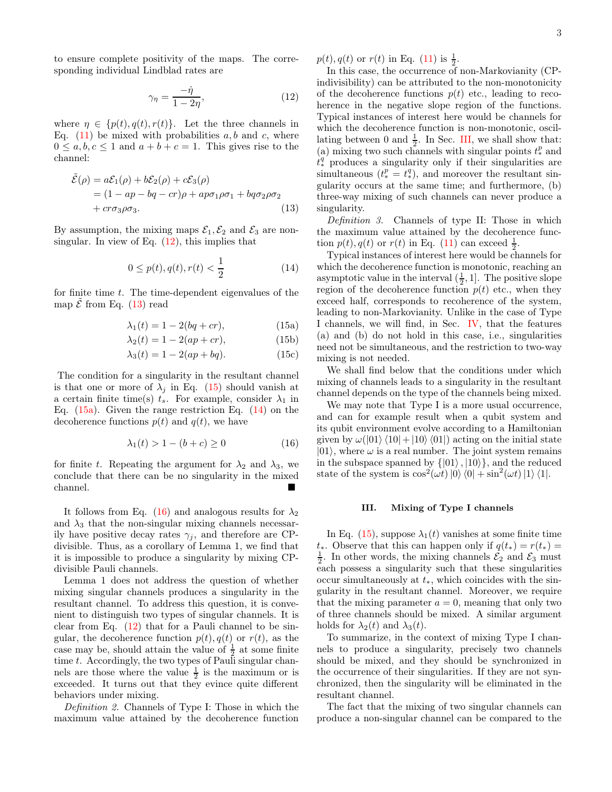3

to ensure complete positivity of the maps. The corresponding individual Lindblad rates are

$$
\gamma_{\eta} = \frac{-\dot{\eta}}{1 - 2\eta},\tag{12}
$$

where  $\eta \in \{p(t), q(t), r(t)\}.$  Let the three channels in Eq.  $(11)$  be mixed with probabilities a, b and c, where  $0 \leq a, b, c \leq 1$  and  $a + b + c = 1$ . This gives rise to the channel:

$$
\tilde{\mathcal{E}}(\rho) = a\mathcal{E}_1(\rho) + b\mathcal{E}_2(\rho) + c\mathcal{E}_3(\rho)
$$
  
= (1 - ap - bq - cr)\rho + ap\sigma\_1\rho\sigma\_1 + bq\sigma\_2\rho\sigma\_2  
+ cr\sigma\_3\rho\sigma\_3. (13)

By assumption, the mixing maps  $\mathcal{E}_1, \mathcal{E}_2$  and  $\mathcal{E}_3$  are nonsingular. In view of Eq.  $(12)$ , this implies that

$$
0 \le p(t), q(t), r(t) < \frac{1}{2} \tag{14}
$$

for finite time  $t$ . The time-dependent eigenvalues of the map  $\tilde{\mathcal{E}}$  from Eq. (13) read

$$
\lambda_1(t) = 1 - 2(bq + cr), \tag{15a}
$$

$$
\lambda_2(t) = 1 - 2(ap + cr),\tag{15b}
$$

$$
\lambda_3(t) = 1 - 2(ap + bq). \tag{15c}
$$

The condition for a singularity in the resultant channel is that one or more of  $\lambda_j$  in Eq. (15) should vanish at a certain finite time(s)  $t_s$ . For example, consider  $\lambda_1$  in Eq.  $(15a)$ . Given the range restriction Eq.  $(14)$  on the decoherence functions  $p(t)$  and  $q(t)$ , we have

$$
\lambda_1(t) > 1 - (b + c) \ge 0 \tag{16}
$$

for finite t. Repeating the argument for  $\lambda_2$  and  $\lambda_3$ , we conclude that there can be no singularity in the mixed channel.

It follows from Eq. (16) and analogous results for  $\lambda_2$ and  $\lambda_3$  that the non-singular mixing channels necessarily have positive decay rates  $\gamma_i$ , and therefore are CPdivisible. Thus, as a corollary of Lemma 1, we find that it is impossible to produce a singularity by mixing CPdivisible Pauli channels.

Lemma 1 does not address the question of whether mixing singular channels produces a singularity in the resultant channel. To address this question, it is convenient to distinguish two types of singular channels. It is clear from Eq. (12) that for a Pauli channel to be singular, the decoherence function  $p(t)$ ,  $q(t)$  or  $r(t)$ , as the case may be, should attain the value of  $\frac{1}{2}$  at some finite time t. Accordingly, the two types of Pauli singular channels are those where the value  $\frac{1}{2}$  is the maximum or is exceeded. It turns out that they evince quite different behaviors under mixing.

Definition 2. Channels of Type I: Those in which the maximum value attained by the decoherence function  $p(t), q(t)$  or  $r(t)$  in Eq. (11) is  $\frac{1}{2}$ .

In this case, the occurrence of non-Markovianity (CPindivisibility) can be attributed to the non-monotonicity of the decoherence functions  $p(t)$  etc., leading to recoherence in the negative slope region of the functions. Typical instances of interest here would be channels for which the decoherence function is non-monotonic, oscillating between 0 and  $\frac{1}{2}$ . In Sec. III, we shall show that: (a) mixing two such channels with singular points  $t_*^p$  and  $\tilde{t}^{q'}_*$  produces a singularity only if their singularities are simultaneous  $(t_*^p = t_*^q)$ , and moreover the resultant singularity occurs at the same time; and furthermore, (b) three-way mixing of such channels can never produce a singularity.

Definition 3. Channels of type II: Those in which the maximum value attained by the decoherence function  $p(t), q(t)$  or  $r(t)$  in Eq. (11) can exceed  $\frac{1}{2}$ .

Typical instances of interest here would be channels for which the decoherence function is monotonic, reaching an asymptotic value in the interval  $(\frac{1}{2}, 1]$ . The positive slope region of the decoherence function  $p(t)$  etc., when they exceed half, corresponds to recoherence of the system, leading to non-Markovianity. Unlike in the case of Type I channels, we will find, in Sec. IV, that the features (a) and (b) do not hold in this case, i.e., singularities need not be simultaneous, and the restriction to two-way mixing is not needed.

We shall find below that the conditions under which mixing of channels leads to a singularity in the resultant channel depends on the type of the channels being mixed.

We may note that Type I is a more usual occurrence, and can for example result when a qubit system and its qubit environment evolve according to a Hamiltonian given by  $\omega(|01\rangle\langle10|+|10\rangle\langle01|)$  acting on the initial state  $|01\rangle$ , where  $\omega$  is a real number. The joint system remains in the subspace spanned by  $\{|01\rangle, |10\rangle\}$ , and the reduced state of the system is  $\cos^2(\omega t) |0\rangle \langle 0| + \sin^2(\omega t) |1\rangle \langle 1|$ .

## III. Mixing of Type I channels

In Eq. (15), suppose  $\lambda_1(t)$  vanishes at some finite time  $t_*$ . Observe that this can happen only if  $q(t_*) = r(t_*)$  $\frac{1}{2}$ . In other words, the mixing channels  $\mathcal{E}_2$  and  $\mathcal{E}_3$  must each possess a singularity such that these singularities occur simultaneously at  $t_*,$  which coincides with the singularity in the resultant channel. Moreover, we require that the mixing parameter  $a = 0$ , meaning that only two of three channels should be mixed. A similar argument holds for  $\lambda_2(t)$  and  $\lambda_3(t)$ .

To summarize, in the context of mixing Type I channels to produce a singularity, precisely two channels should be mixed, and they should be synchronized in the occurrence of their singularities. If they are not synchronized, then the singularity will be eliminated in the resultant channel.

The fact that the mixing of two singular channels can produce a non-singular channel can be compared to the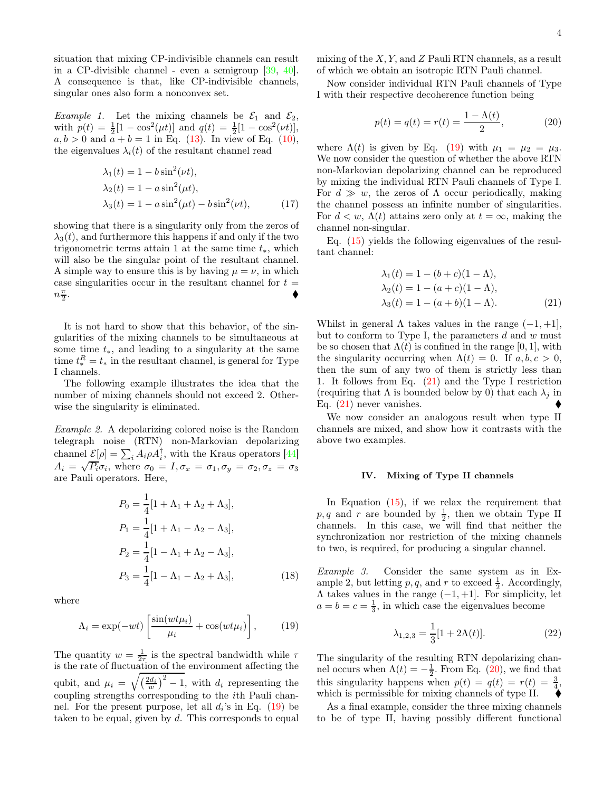situation that mixing CP-indivisible channels can result in a CP-divisible channel - even a semigroup [39, 40]. A consequence is that, like CP-indivisible channels, singular ones also form a nonconvex set.

*Example 1.* Let the mixing channels be  $\mathcal{E}_1$  and  $\mathcal{E}_2$ , with  $p(t) = \frac{1}{2}[1 - \cos^2(\mu t)]$  and  $q(t) = \frac{1}{2}[1 - \cos^2(\nu t)],$  $a, b > 0$  and  $\bar{a} + b = 1$  in Eq. (13). In view of Eq. (10), the eigenvalues  $\lambda_i(t)$  of the resultant channel read

$$
\lambda_1(t) = 1 - b \sin^2(\nu t),
$$
  
\n
$$
\lambda_2(t) = 1 - a \sin^2(\mu t),
$$
  
\n
$$
\lambda_3(t) = 1 - a \sin^2(\mu t) - b \sin^2(\nu t),
$$
\n(17)

showing that there is a singularity only from the zeros of  $\lambda_3(t)$ , and furthermore this happens if and only if the two trigonometric terms attain 1 at the same time  $t_*,$  which will also be the singular point of the resultant channel. A simple way to ensure this is by having  $\mu = \nu$ , in which case singularities occur in the resultant channel for  $t =$  $n\frac{\pi}{2}$ . In the contract of the contract of the contract of the contract of the contract of the contract of the contract of

It is not hard to show that this behavior, of the singularities of the mixing channels to be simultaneous at some time  $t_*,$  and leading to a singularity at the same time  $t_*^R = t_*$  in the resultant channel, is general for Type I channels.

The following example illustrates the idea that the number of mixing channels should not exceed 2. Otherwise the singularity is eliminated.

Example 2. A depolarizing colored noise is the Random telegraph noise (RTN) non-Markovian depolarizing channel  $\underline{\mathcal{E}}[\rho] = \sum_i A_i \rho A_i^{\dagger}$ , with the Kraus operators [44]  $A_i = \sqrt{P_i} \sigma_i$ , where  $\sigma_0 = I, \sigma_x = \sigma_1, \sigma_y = \sigma_2, \sigma_z = \sigma_3$ are Pauli operators. Here,

$$
P_0 = \frac{1}{4} [1 + \Lambda_1 + \Lambda_2 + \Lambda_3],
$$
  
\n
$$
P_1 = \frac{1}{4} [1 + \Lambda_1 - \Lambda_2 - \Lambda_3],
$$
  
\n
$$
P_2 = \frac{1}{4} [1 - \Lambda_1 + \Lambda_2 - \Lambda_3],
$$
  
\n
$$
P_3 = \frac{1}{4} [1 - \Lambda_1 - \Lambda_2 + \Lambda_3],
$$
\n(18)

where

$$
\Lambda_i = \exp(-wt) \left[ \frac{\sin(wt\mu_i)}{\mu_i} + \cos(wt\mu_i) \right], \quad (19)
$$

The quantity  $w = \frac{1}{2\tau}$  is the spectral bandwidth while  $\tau$ is the rate of fluctuation of the environment affecting the qubit, and  $\mu_i = \sqrt{\left(\frac{2d_i}{w}\right)^2 - 1}$ , with  $d_i$  representing the coupling strengths corresponding to the ith Pauli channel. For the present purpose, let all  $d_i$ 's in Eq. (19) be taken to be equal, given by  $d$ . This corresponds to equal mixing of the  $X, Y$ , and  $Z$  Pauli RTN channels, as a result of which we obtain an isotropic RTN Pauli channel.

Now consider individual RTN Pauli channels of Type I with their respective decoherence function being

$$
p(t) = q(t) = r(t) = \frac{1 - \Lambda(t)}{2},
$$
 (20)

where  $\Lambda(t)$  is given by Eq. (19) with  $\mu_1 = \mu_2 = \mu_3$ . We now consider the question of whether the above RTN non-Markovian depolarizing channel can be reproduced by mixing the individual RTN Pauli channels of Type I. For  $d \gg w$ , the zeros of  $\Lambda$  occur periodically, making the channel possess an infinite number of singularities. For  $d < w$ ,  $\Lambda(t)$  attains zero only at  $t = \infty$ , making the channel non-singular.

Eq. (15) yields the following eigenvalues of the resultant channel:

$$
\lambda_1(t) = 1 - (b + c)(1 - \Lambda), \n\lambda_2(t) = 1 - (a + c)(1 - \Lambda), \n\lambda_3(t) = 1 - (a + b)(1 - \Lambda).
$$
\n(21)

Whilst in general  $\Lambda$  takes values in the range  $(-1, +1]$ , but to conform to Type I, the parameters  $d$  and  $w$  must be so chosen that  $\Lambda(t)$  is confined in the range [0, 1], with the singularity occurring when  $\Lambda(t) = 0$ . If  $a, b, c > 0$ , then the sum of any two of them is strictly less than 1. It follows from Eq. (21) and the Type I restriction (requiring that  $\Lambda$  is bounded below by 0) that each  $\lambda_i$  in Eq. (21) never vanishes.

We now consider an analogous result when type II channels are mixed, and show how it contrasts with the above two examples.

#### IV. Mixing of Type II channels

In Equation (15), if we relax the requirement that  $p, q$  and r are bounded by  $\frac{1}{2}$ , then we obtain Type II channels. In this case, we will find that neither the synchronization nor restriction of the mixing channels to two, is required, for producing a singular channel.

Example 3. Consider the same system as in Example 2, but letting p, q, and r to exceed  $\frac{1}{2}$ . Accordingly,  $\Lambda$  takes values in the range  $(-1, +1]$ . For simplicity, let  $a = b = c = \frac{1}{3}$ , in which case the eigenvalues become

$$
\lambda_{1,2,3} = \frac{1}{3} [1 + 2\Lambda(t)].
$$
 (22)

The singularity of the resulting RTN depolarizing channel occurs when  $\Lambda(t) = -\frac{1}{2}$ . From Eq. (20), we find that this singularity happens when  $p(t) = q(t) = r(t) = \frac{3}{4}$ , which is permissible for mixing channels of type II.

As a final example, consider the three mixing channels to be of type II, having possibly different functional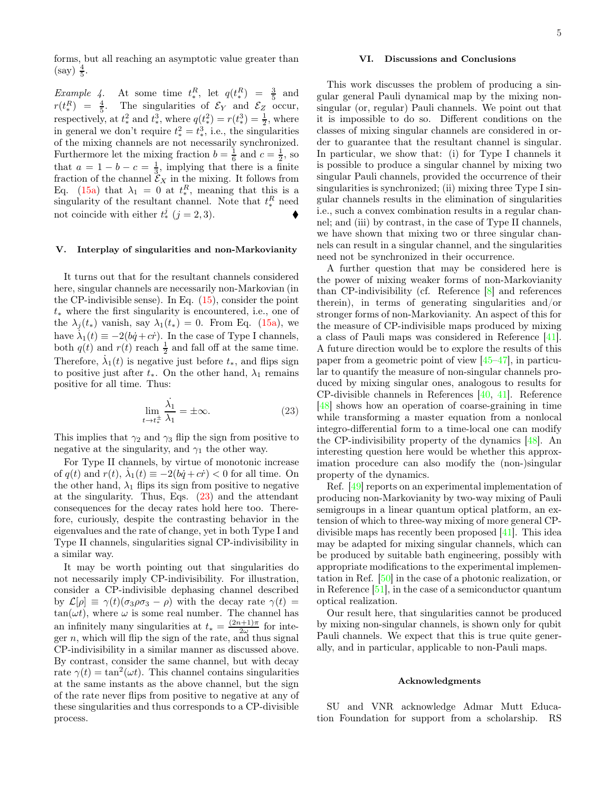forms, but all reaching an asymptotic value greater than  $(\text{say}) \frac{4}{5}.$ 

*Example 4*. At some time  $t_*^R$ , let  $q(t_*^R) = \frac{3}{5}$  and  $r(t_*^R) = \frac{4}{5}$ . The singularities of  $\mathcal{E}_Y$  and  $\mathcal{E}_Z$  occur, respectively, at  $t_*^2$  and  $t_*^3$ , where  $q(t_*^2) = r(t_*^3) = \frac{1}{2}$ , where in general we don't require  $t_*^2 = t_*^3$ , i.e., the singularities of the mixing channels are not necessarily synchronized. Furthermore let the mixing fraction  $b = \frac{1}{6}$  and  $c = \frac{1}{2}$ , so that  $a = 1 - b - c = \frac{1}{3}$ , implying that there is a finite fraction of the channel  $\mathcal{E}_X$  in the mixing. It follows from Eq. (15a) that  $\lambda_1 = 0$  at  $t_*^R$ , meaning that this is a singularity of the resultant channel. Note that  $t_*^R$  need not coincide with either  $t_*^j$   $(j = 2, 3)$ .

## V. Interplay of singularities and non-Markovianity

It turns out that for the resultant channels considered here, singular channels are necessarily non-Markovian (in the CP-indivisible sense). In Eq.  $(15)$ , consider the point t<sup>∗</sup> where the first singularity is encountered, i.e., one of the  $\lambda_j(t_*)$  vanish, say  $\lambda_1(t_*) = 0$ . From Eq. (15a), we have  $\lambda_1(t) \equiv -2(bq+cr)$ . In the case of Type I channels, both  $q(t)$  and  $r(t)$  reach  $\frac{1}{2}$  and fall off at the same time. Therefore,  $\dot{\lambda}_1(t)$  is negative just before  $t_*,$  and flips sign to positive just after  $t_*$ . On the other hand,  $\lambda_1$  remains positive for all time. Thus:

$$
\lim_{t \to t_*^{\pm}} \frac{\dot{\lambda}_1}{\lambda_1} = \pm \infty.
$$
 (23)

This implies that  $\gamma_2$  and  $\gamma_3$  flip the sign from positive to negative at the singularity, and  $\gamma_1$  the other way.

For Type II channels, by virtue of monotonic increase of  $q(t)$  and  $r(t)$ ,  $\lambda_1(t) \equiv -2(bq+cr) < 0$  for all time. On the other hand,  $\lambda_1$  flips its sign from positive to negative at the singularity. Thus, Eqs. (23) and the attendant consequences for the decay rates hold here too. Therefore, curiously, despite the contrasting behavior in the eigenvalues and the rate of change, yet in both Type I and Type II channels, singularities signal CP-indivisibility in a similar way.

It may be worth pointing out that singularities do not necessarily imply CP-indivisibility. For illustration, consider a CP-indivisible dephasing channel described by  $\mathcal{L}[\rho] \equiv \gamma(t)(\sigma_3\rho\sigma_3 - \rho)$  with the decay rate  $\gamma(t) =$  $tan(\omega t)$ , where  $\omega$  is some real number. The channel has an infinitely many singularities at  $t_* = \frac{(2n+1)\pi}{2\omega}$  $rac{1+1\pi}{2\omega}$  for integer  $n$ , which will flip the sign of the rate, and thus signal CP-indivisibility in a similar manner as discussed above. By contrast, consider the same channel, but with decay rate  $\gamma(t) = \tan^2(\omega t)$ . This channel contains singularities at the same instants as the above channel, but the sign of the rate never flips from positive to negative at any of these singularities and thus corresponds to a CP-divisible process.

#### VI. Discussions and Conclusions

This work discusses the problem of producing a singular general Pauli dynamical map by the mixing nonsingular (or, regular) Pauli channels. We point out that it is impossible to do so. Different conditions on the classes of mixing singular channels are considered in order to guarantee that the resultant channel is singular. In particular, we show that: (i) for Type I channels it is possible to produce a singular channel by mixing two singular Pauli channels, provided the occurrence of their singularities is synchronized; (ii) mixing three Type I singular channels results in the elimination of singularities i.e., such a convex combination results in a regular channel; and (iii) by contrast, in the case of Type II channels, we have shown that mixing two or three singular channels can result in a singular channel, and the singularities need not be synchronized in their occurrence.

A further question that may be considered here is the power of mixing weaker forms of non-Markovianity than CP-indivisibility (cf. Reference [8] and references therein), in terms of generating singularities and/or stronger forms of non-Markovianity. An aspect of this for the measure of CP-indivisible maps produced by mixing a class of Pauli maps was considered in Reference [41]. A future direction would be to explore the results of this paper from a geometric point of view [45–47], in particular to quantify the measure of non-singular channels produced by mixing singular ones, analogous to results for CP-divisible channels in References [40, 41]. Reference [48] shows how an operation of coarse-graining in time while transforming a master equation from a nonlocal integro-differential form to a time-local one can modify the CP-indivisibility property of the dynamics [48]. An interesting question here would be whether this approximation procedure can also modify the (non-)singular property of the dynamics.

Ref. [49] reports on an experimental implementation of producing non-Markovianity by two-way mixing of Pauli semigroups in a linear quantum optical platform, an extension of which to three-way mixing of more general CPdivisible maps has recently been proposed [41]. This idea may be adapted for mixing singular channels, which can be produced by suitable bath engineering, possibly with appropriate modifications to the experimental implementation in Ref. [50] in the case of a photonic realization, or in Reference [51], in the case of a semiconductor quantum optical realization.

Our result here, that singularities cannot be produced by mixing non-singular channels, is shown only for qubit Pauli channels. We expect that this is true quite generally, and in particular, applicable to non-Pauli maps.

# Acknowledgments

SU and VNR acknowledge Admar Mutt Education Foundation for support from a scholarship. RS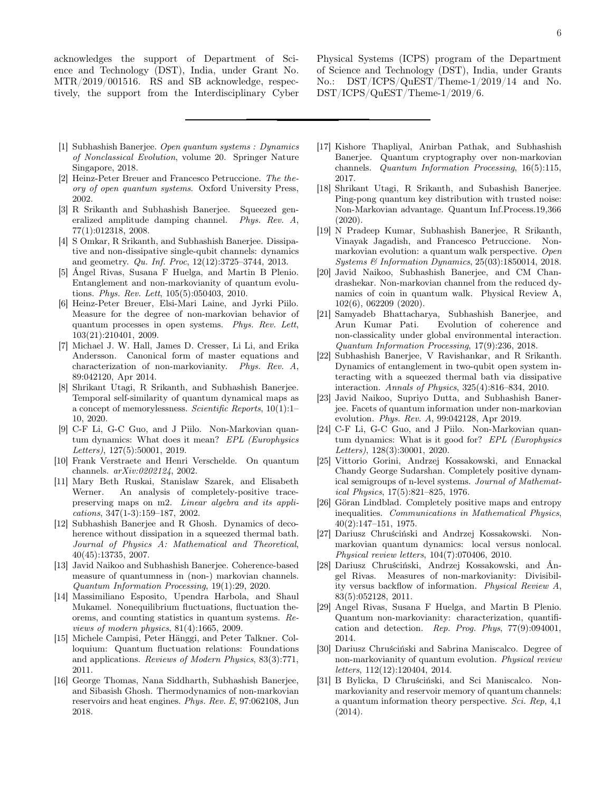acknowledges the support of Department of Science and Technology (DST), India, under Grant No. MTR/2019/001516. RS and SB acknowledge, respectively, the support from the Interdisciplinary Cyber Physical Systems (ICPS) program of the Department of Science and Technology (DST), India, under Grants No.: DST/ICPS/QuEST/Theme-1/2019/14 and No. DST/ICPS/QuEST/Theme-1/2019/6.

- [1] Subhashish Banerjee. *Open quantum systems : Dynamics of Nonclassical Evolution*, volume 20. Springer Nature Singapore, 2018.
- [2] Heinz-Peter Breuer and Francesco Petruccione. *The theory of open quantum systems*. Oxford University Press, 2002.
- [3] R Srikanth and Subhashish Banerjee. Squeezed generalized amplitude damping channel. *Phys. Rev. A*, 77(1):012318, 2008.
- [4] S Omkar, R Srikanth, and Subhashish Banerjee. Dissipative and non-dissipative single-qubit channels: dynamics and geometry. *Qu. Inf. Proc*, 12(12):3725–3744, 2013.
- [5] Ángel Rivas, Susana F Huelga, and Martin B Plenio. Entanglement and non-markovianity of quantum evolutions. *Phys. Rev. Lett*, 105(5):050403, 2010.
- [6] Heinz-Peter Breuer, Elsi-Mari Laine, and Jyrki Piilo. Measure for the degree of non-markovian behavior of quantum processes in open systems. *Phys. Rev. Lett*, 103(21):210401, 2009.
- [7] Michael J. W. Hall, James D. Cresser, Li Li, and Erika Andersson. Canonical form of master equations and characterization of non-markovianity. *Phys. Rev. A*, 89:042120, Apr 2014.
- [8] Shrikant Utagi, R Srikanth, and Subhashish Banerjee. Temporal self-similarity of quantum dynamical maps as a concept of memorylessness. *Scientific Reports*, 10(1):1– 10, 2020.
- [9] C-F Li, G-C Guo, and J Piilo. Non-Markovian quantum dynamics: What does it mean? *EPL (Europhysics Letters)*, 127(5):50001, 2019.
- [10] Frank Verstraete and Henri Verschelde. On quantum channels. *arXiv:0202124*, 2002.
- [11] Mary Beth Ruskai, Stanislaw Szarek, and Elisabeth Werner. An analysis of completely-positive tracepreserving maps on m2. *Linear algebra and its applications*, 347(1-3):159–187, 2002.
- [12] Subhashish Banerjee and R Ghosh. Dynamics of decoherence without dissipation in a squeezed thermal bath. *Journal of Physics A: Mathematical and Theoretical*, 40(45):13735, 2007.
- [13] Javid Naikoo and Subhashish Banerjee. Coherence-based measure of quantumness in (non-) markovian channels. *Quantum Information Processing*, 19(1):29, 2020.
- [14] Massimiliano Esposito, Upendra Harbola, and Shaul Mukamel. Nonequilibrium fluctuations, fluctuation theorems, and counting statistics in quantum systems. *Reviews of modern physics*, 81(4):1665, 2009.
- [15] Michele Campisi, Peter Hänggi, and Peter Talkner. Colloquium: Quantum fluctuation relations: Foundations and applications. *Reviews of Modern Physics*, 83(3):771, 2011.
- [16] George Thomas, Nana Siddharth, Subhashish Banerjee, and Sibasish Ghosh. Thermodynamics of non-markovian reservoirs and heat engines. *Phys. Rev. E*, 97:062108, Jun 2018.
- [17] Kishore Thapliyal, Anirban Pathak, and Subhashish Banerjee. Quantum cryptography over non-markovian channels. *Quantum Information Processing*, 16(5):115, 2017.
- [18] Shrikant Utagi, R Srikanth, and Subashish Banerjee. Ping-pong quantum key distribution with trusted noise: Non-Markovian advantage. Quantum Inf.Process.19,366 (2020).
- [19] N Pradeep Kumar, Subhashish Banerjee, R Srikanth, Vinayak Jagadish, and Francesco Petruccione. Nonmarkovian evolution: a quantum walk perspective. *Open Systems & Information Dynamics*, 25(03):1850014, 2018.
- [20] Javid Naikoo, Subhashish Banerjee, and CM Chandrashekar. Non-markovian channel from the reduced dynamics of coin in quantum walk. Physical Review A, 102(6), 062209 (2020).
- [21] Samyadeb Bhattacharya, Subhashish Banerjee, and Arun Kumar Pati. Evolution of coherence and non-classicality under global environmental interaction. *Quantum Information Processing*, 17(9):236, 2018.
- [22] Subhashish Banerjee, V Ravishankar, and R Srikanth. Dynamics of entanglement in two-qubit open system interacting with a squeezed thermal bath via dissipative interaction. *Annals of Physics*, 325(4):816–834, 2010.
- [23] Javid Naikoo, Supriyo Dutta, and Subhashish Banerjee. Facets of quantum information under non-markovian evolution. *Phys. Rev. A*, 99:042128, Apr 2019.
- [24] C-F Li, G-C Guo, and J Piilo. Non-Markovian quantum dynamics: What is it good for? *EPL (Europhysics Letters)*, 128(3):30001, 2020.
- [25] Vittorio Gorini, Andrzej Kossakowski, and Ennackal Chandy George Sudarshan. Completely positive dynamical semigroups of n-level systems. *Journal of Mathematical Physics*, 17(5):821–825, 1976.
- [26] Göran Lindblad. Completely positive maps and entropy inequalities. *Communications in Mathematical Physics*, 40(2):147–151, 1975.
- [27] Dariusz Chruściński and Andrzej Kossakowski. Nonmarkovian quantum dynamics: local versus nonlocal. *Physical review letters*, 104(7):070406, 2010.
- [28] Dariusz Chruściński, Andrzej Kossakowski, and Án-Measures of non-markovianity: Divisibility versus backflow of information. *Physical Review A*, 83(5):052128, 2011.
- [29] Angel Rivas, Susana F Huelga, and Martin B Plenio. Quantum non-markovianity: characterization, quantification and detection. *Rep. Prog. Phys*, 77(9):094001, 2014.
- [30] Dariusz Chruściński and Sabrina Maniscalco. Degree of non-markovianity of quantum evolution. *Physical review letters*, 112(12):120404, 2014.
- [31] B Bylicka, D Chruściński, and Sci Maniscalco. Nonmarkovianity and reservoir memory of quantum channels: a quantum information theory perspective. *Sci. Rep*, 4,1 (2014).